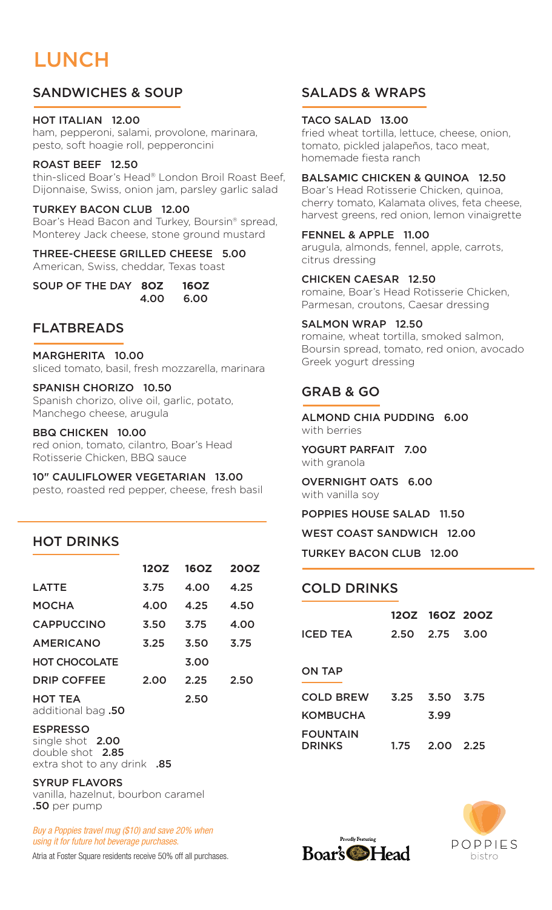# LUNCH

## SANDWICHES & SOUP

#### HOT ITALIAN 12.00

ham, pepperoni, salami, provolone, marinara, pesto, soft hoagie roll, pepperoncini

#### ROAST BEEF 12.50

thin-sliced Boar's Head® London Broil Roast Beef, Dijonnaise, Swiss, onion jam, parsley garlic salad

### TURKEY BACON CLUB 12.00

Boar's Head Bacon and Turkey, Boursin® spread, Monterey Jack cheese, stone ground mustard

#### THREE-CHEESE GRILLED CHEESE 5.00 American, Swiss, cheddar, Texas toast

| SOUP OF THE DAY 80Z 160Z |           |
|--------------------------|-----------|
|                          | 4.00 6.00 |

### FLATBREADS

#### MARGHERITA 10.00

sliced tomato, basil, fresh mozzarella, marinara

#### SPANISH CHORIZO 10.50

Spanish chorizo, olive oil, garlic, potato, Manchego cheese, arugula

#### BBQ CHICKEN 10.00

red onion, tomato, cilantro, Boar's Head Rotisserie Chicken, BBQ sauce

10" CAULIFLOWER VEGETARIAN 13.00

pesto, roasted red pepper, cheese, fresh basil

### HOT DRINKS

|                      | 12OZ | <b>16OZ</b> | <b>200Z</b> |
|----------------------|------|-------------|-------------|
| <b>LATTE</b>         | 3.75 | 4.00        | 4.25        |
| <b>MOCHA</b>         | 4.00 | 4.25        | 4.50        |
| <b>CAPPUCCINO</b>    | 3.50 | 3.75        | 4.00        |
| <b>AMERICANO</b>     | 3.25 | 3.50        | 3.75        |
| <b>HOT CHOCOLATE</b> |      | 3.00        |             |
| <b>DRIP COFFEE</b>   | 2.00 | 2.25        | 2.50        |
| <b>HOT TEA</b>       |      | 2.50        |             |

additional bag .50

#### ESPRESSO

single shot 2.00 double shot 2.85 extra shot to any drink **.85** 

#### SYRUP FLAVORS

vanilla, hazelnut, bourbon caramel .50 per pump

*Buy a Poppies travel mug (\$10) and save 20% when using it for future hot beverage purchases.*

Atria at Foster Square residents receive 50% off all purchases.

## SALADS & WRAPS

#### TACO SALAD 13.00

fried wheat tortilla, lettuce, cheese, onion, tomato, pickled jalapeños, taco meat, homemade fiesta ranch

#### BALSAMIC CHICKEN & QUINOA 12.50

Boar's Head Rotisserie Chicken, quinoa, cherry tomato, Kalamata olives, feta cheese, harvest greens, red onion, lemon vinaigrette

#### FENNEL & APPLE 11.00

arugula, almonds, fennel, apple, carrots, citrus dressing

#### CHICKEN CAESAR 12.50

romaine, Boar's Head Rotisserie Chicken, Parmesan, croutons, Caesar dressing

#### SALMON WRAP 12.50

romaine, wheat tortilla, smoked salmon, Boursin spread, tomato, red onion, avocado Greek yogurt dressing

## GRAB & GO

ALMOND CHIA PUDDING 6.00 with berries

YOGURT PARFAIT 7.00 with granola

OVERNIGHT OATS 6.00 with vanilla soy

POPPIES HOUSE SALAD 11.50

WEST COAST SANDWICH 12.00

TURKEY BACON CLUB 12.00

### COLD DRINKS

|                                  |      | 120Z 160Z 200Z |        |
|----------------------------------|------|----------------|--------|
| <b>ICED TEA</b>                  |      | 2.50 2.75      | 3.00   |
|                                  |      |                |        |
| <b>ON TAP</b>                    |      |                |        |
| <b>COLD BREW</b>                 | 3.25 | 3.50 3.75      |        |
| <b>KOMBUCHA</b>                  |      | 3.99           |        |
| <b>FOUNTAIN</b><br><b>DRINKS</b> | 1.75 | 2.00           | - 2.25 |